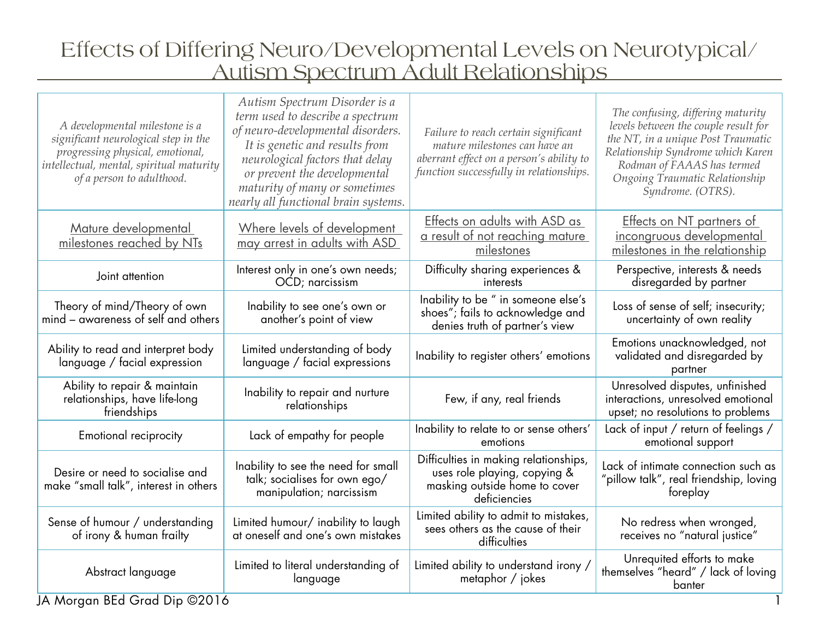# Effects of Differing Neuro/Developmental Levels on Neurotypical/ Autism Spectrum Adult Relationships

| A developmental milestone is a<br>significant neurological step in the<br>progressing physical, emotional,<br>intellectual, mental, spiritual maturity<br>of a person to adulthood. | Autism Spectrum Disorder is a<br>term used to describe a spectrum<br>of neuro-developmental disorders.<br>It is genetic and results from<br>neurological factors that delay<br>or prevent the developmental<br>maturity of many or sometimes<br>nearly all functional brain systems. | Failure to reach certain significant<br>mature milestones can have an<br>aberrant effect on a person's ability to<br>function successfully in relationships. | The confusing, differing maturity<br>levels between the couple result for<br>the NT, in a unique Post Traumatic<br>Relationship Syndrome which Karen<br>Rodman of FAAAS has termed<br>Ongoing Traumatic Relationship<br>Syndrome. (OTRS). |
|-------------------------------------------------------------------------------------------------------------------------------------------------------------------------------------|--------------------------------------------------------------------------------------------------------------------------------------------------------------------------------------------------------------------------------------------------------------------------------------|--------------------------------------------------------------------------------------------------------------------------------------------------------------|-------------------------------------------------------------------------------------------------------------------------------------------------------------------------------------------------------------------------------------------|
| Mature developmental<br>milestones reached by NTs                                                                                                                                   | Where levels of development<br>may arrest in adults with ASD                                                                                                                                                                                                                         | Effects on adults with ASD as<br>a result of not reaching mature<br>milestones                                                                               | <b>Effects on NT partners of</b><br>incongruous developmental<br>milestones in the relationship                                                                                                                                           |
| Joint attention                                                                                                                                                                     | Interest only in one's own needs;<br>OCD; narcissism                                                                                                                                                                                                                                 | Difficulty sharing experiences &<br>interests                                                                                                                | Perspective, interests & needs<br>disregarded by partner                                                                                                                                                                                  |
| Theory of mind/Theory of own<br>mind - awareness of self and others                                                                                                                 | Inability to see one's own or<br>another's point of view                                                                                                                                                                                                                             | Inability to be " in someone else's<br>shoes"; fails to acknowledge and<br>denies truth of partner's view                                                    | Loss of sense of self; insecurity;<br>uncertainty of own reality                                                                                                                                                                          |
| Ability to read and interpret body<br>language / facial expression                                                                                                                  | Limited understanding of body<br>language / facial expressions                                                                                                                                                                                                                       | Inability to register others' emotions                                                                                                                       | Emotions unacknowledged, not<br>validated and disregarded by<br>partner                                                                                                                                                                   |
| Ability to repair & maintain<br>relationships, have life-long<br>friendships                                                                                                        | Inability to repair and nurture<br>relationships                                                                                                                                                                                                                                     | Few, if any, real friends                                                                                                                                    | Unresolved disputes, unfinished<br>interactions, unresolved emotional<br>upset; no resolutions to problems                                                                                                                                |
| Emotional reciprocity                                                                                                                                                               | Lack of empathy for people                                                                                                                                                                                                                                                           | Inability to relate to or sense others'<br>emotions                                                                                                          | Lack of input / return of feelings /<br>emotional support                                                                                                                                                                                 |
| Desire or need to socialise and<br>make "small talk", interest in others                                                                                                            | Inability to see the need for small<br>talk; socialises for own ego/<br>manipulation; narcissism                                                                                                                                                                                     | Difficulties in making relationships,<br>uses role playing, copying &<br>masking outside home to cover<br>deficiencies                                       | Lack of intimate connection such as<br>"pillow talk", real friendship, loving<br>foreplay                                                                                                                                                 |
| Sense of humour / understanding<br>of irony & human frailty                                                                                                                         | Limited humour/ inability to laugh<br>at oneself and one's own mistakes                                                                                                                                                                                                              | Limited ability to admit to mistakes,<br>sees others as the cause of their<br>difficulties                                                                   | No redress when wronged,<br>receives no "natural justice"                                                                                                                                                                                 |
| Abstract language                                                                                                                                                                   | Limited to literal understanding of<br>language                                                                                                                                                                                                                                      | Limited ability to understand irony /<br>metaphor / jokes                                                                                                    | Unrequited efforts to make<br>themselves "heard" / lack of loving<br>banter                                                                                                                                                               |
| $\therefore$ DEJ C $\therefore$ D $\therefore$ Q 0014<br>$AA = 0$                                                                                                                   |                                                                                                                                                                                                                                                                                      |                                                                                                                                                              |                                                                                                                                                                                                                                           |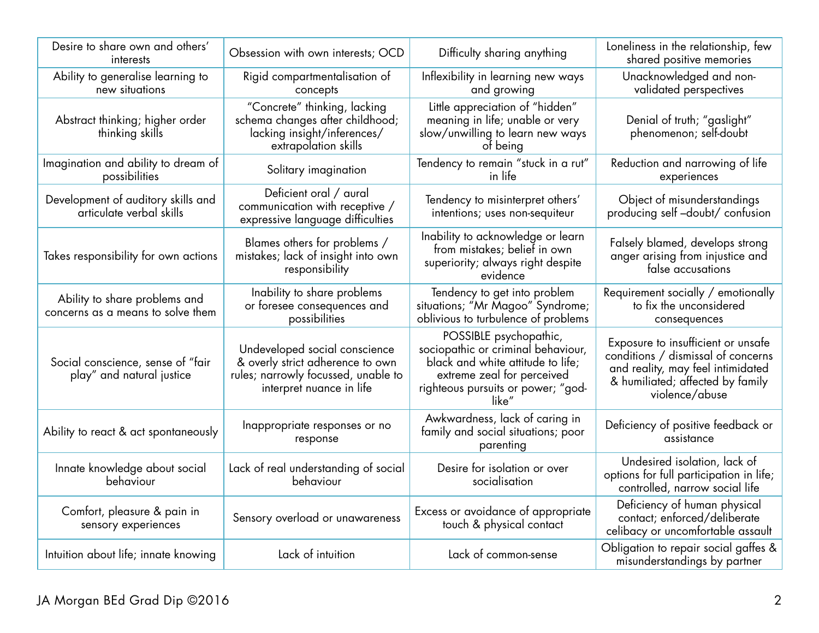| Desire to share own and others'<br>interests                       | Obsession with own interests; OCD                                                                                                    | Difficulty sharing anything                                                                                                                                                    | Loneliness in the relationship, few<br>shared positive memories                                                                                                     |
|--------------------------------------------------------------------|--------------------------------------------------------------------------------------------------------------------------------------|--------------------------------------------------------------------------------------------------------------------------------------------------------------------------------|---------------------------------------------------------------------------------------------------------------------------------------------------------------------|
| Ability to generalise learning to<br>new situations                | Rigid compartmentalisation of<br>concepts                                                                                            | Inflexibility in learning new ways<br>and growing                                                                                                                              | Unacknowledged and non-<br>validated perspectives                                                                                                                   |
| Abstract thinking; higher order<br>thinking skills                 | "Concrete" thinking, lacking<br>schema changes after childhood;<br>lacking insight/inferences/<br>extrapolation skills               | Little appreciation of "hidden"<br>meaning in life; unable or very<br>slow/unwilling to learn new ways<br>of being                                                             | Denial of truth; "gaslight"<br>phenomenon; self-doubt                                                                                                               |
| Imagination and ability to dream of<br>possibilities               | Solitary imagination                                                                                                                 | Tendency to remain "stuck in a rut"<br>in life                                                                                                                                 | Reduction and narrowing of life<br>experiences                                                                                                                      |
| Development of auditory skills and<br>articulate verbal skills     | Deficient oral / aural<br>communication with receptive /<br>expressive language difficulties                                         | Tendency to misinterpret others'<br>intentions; uses non-sequiteur                                                                                                             | Object of misunderstandings<br>producing self-doubt/ confusion                                                                                                      |
| Takes responsibility for own actions                               | Blames others for problems /<br>mistakes; lack of insight into own<br>responsibility                                                 | Inability to acknowledge or learn<br>from mistakes; belief in own<br>superiority; always right despite<br>evidence                                                             | Falsely blamed, develops strong<br>anger arising from injustice and<br>false accusations                                                                            |
| Ability to share problems and<br>concerns as a means to solve them | Inability to share problems<br>or foresee consequences and<br>possibilities                                                          | Tendency to get into problem<br>situations; "Mr Magoo" Syndrome;<br>oblivious to turbulence of problems                                                                        | Requirement socially / emotionally<br>to fix the unconsidered<br>consequences                                                                                       |
| Social conscience, sense of "fair<br>play" and natural justice     | Undeveloped social conscience<br>& overly strict adherence to own<br>rules; narrowly focussed, unable to<br>interpret nuance in life | POSSIBLE psychopathic,<br>sociopathic or criminal behaviour,<br>black and white attitude to life;<br>extreme zeal for perceived<br>righteous pursuits or power; "god-<br>like" | Exposure to insufficient or unsafe<br>conditions / dismissal of concerns<br>and reality, may feel intimidated<br>& humiliated; affected by family<br>violence/abuse |
| Ability to react & act spontaneously                               | Inappropriate responses or no<br>response                                                                                            | Awkwardness, lack of caring in<br>family and social situations; poor<br>parenting                                                                                              | Deficiency of positive feedback or<br>assistance                                                                                                                    |
| Innate knowledge about social<br>behaviour                         | Lack of real understanding of social<br>behaviour                                                                                    | Desire for isolation or over<br>socialisation                                                                                                                                  | Undesired isolation, lack of<br>options for full participation in life;<br>controlled, narrow social life                                                           |
| Comfort, pleasure & pain in<br>sensory experiences                 | Sensory overload or unawareness                                                                                                      | Excess or avoidance of appropriate<br>touch & physical contact                                                                                                                 | Deficiency of human physical<br>contact; enforced/deliberate<br>celibacy or uncomfortable assault                                                                   |
| Intuition about life; innate knowing                               | Lack of intuition                                                                                                                    | Lack of common-sense                                                                                                                                                           | Obligation to repair social gaffes &<br>misunderstandings by partner                                                                                                |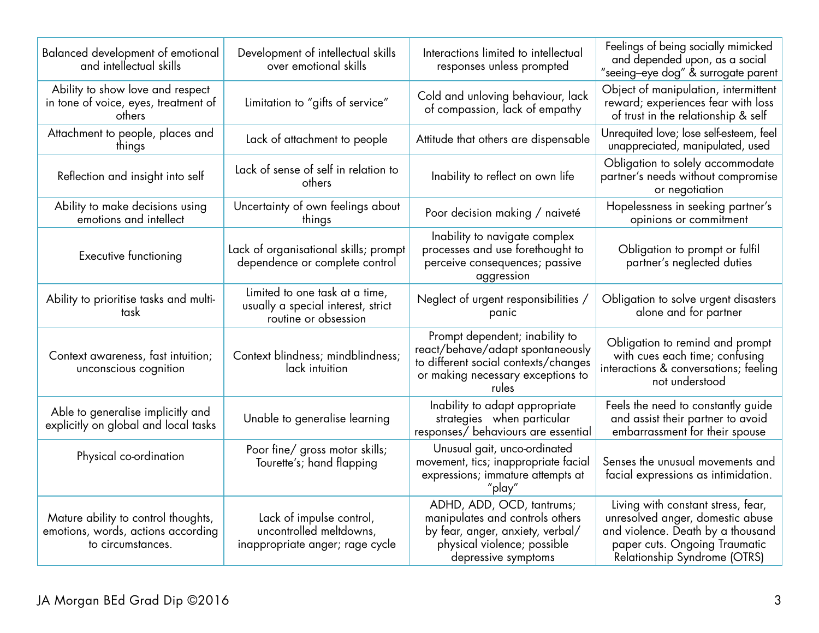| Balanced development of emotional<br>and intellectual skills                                   | Development of intellectual skills<br>over emotional skills                                  | Interactions limited to intellectual<br>responses unless prompted                                                                                        | Feelings of being socially mimicked<br>and depended upon, as a social<br>"seeing-eye dog" & surrogate parent                                                                 |
|------------------------------------------------------------------------------------------------|----------------------------------------------------------------------------------------------|----------------------------------------------------------------------------------------------------------------------------------------------------------|------------------------------------------------------------------------------------------------------------------------------------------------------------------------------|
| Ability to show love and respect<br>in tone of voice, eyes, treatment of<br>others             | Limitation to "gifts of service"                                                             | Cold and unloving behaviour, lack<br>of compassion, lack of empathy                                                                                      | Object of manipulation, intermittent<br>reward; experiences fear with loss<br>of trust in the relationship & self                                                            |
| Attachment to people, places and<br>things                                                     | Lack of attachment to people                                                                 | Attitude that others are dispensable                                                                                                                     | Unrequited love; lose self-esteem, feel<br>unappreciated, manipulated, used                                                                                                  |
| Reflection and insight into self                                                               | Lack of sense of self in relation to<br>others                                               | Inability to reflect on own life                                                                                                                         | Obligation to solely accommodate<br>partner's needs without compromise<br>or negotiation                                                                                     |
| Ability to make decisions using<br>emotions and intellect                                      | Uncertainty of own feelings about<br>things                                                  | Poor decision making / naiveté                                                                                                                           | Hopelessness in seeking partner's<br>opinions or commitment                                                                                                                  |
| <b>Executive functioning</b>                                                                   | Lack of organisational skills; prompt<br>dependence or complete control                      | Inability to navigate complex<br>processes and use forethought to<br>perceive consequences; passive<br>aggression                                        | Obligation to prompt or fulfil<br>partner's neglected duties                                                                                                                 |
| Ability to prioritise tasks and multi-<br>task                                                 | Limited to one task at a time,<br>usually a special interest, strict<br>routine or obsession | Neglect of urgent responsibilities /<br>panic                                                                                                            | Obligation to solve urgent disasters<br>alone and for partner                                                                                                                |
| Context awareness, fast intuition;<br>unconscious cognition                                    | Context blindness; mindblindness;<br>lack intuition                                          | Prompt dependent; inability to<br>react/behave/adapt spontaneously<br>to different social contexts/changes<br>or making necessary exceptions to<br>rules | Obligation to remind and prompt<br>with cues each time; confusing<br>interactions & conversations; feeling<br>not understood                                                 |
| Able to generalise implicitly and<br>explicitly on global and local tasks                      | Unable to generalise learning                                                                | Inability to adapt appropriate<br>strategies when particular<br>responses/ behaviours are essential                                                      | Feels the need to constantly guide<br>and assist their partner to avoid<br>embarrassment for their spouse                                                                    |
| Physical co-ordination                                                                         | Poor fine/ gross motor skills;<br>Tourette's; hand flapping                                  | Unusual gait, unco-ordinated<br>movement, tics; inappropriate facial<br>expressions; immature attempts at<br>"play"                                      | Senses the unusual movements and<br>facial expressions as intimidation.                                                                                                      |
| Mature ability to control thoughts,<br>emotions, words, actions according<br>to circumstances. | Lack of impulse control,<br>uncontrolled meltdowns,<br>inappropriate anger; rage cycle       | ADHD, ADD, OCD, tantrums;<br>manipulates and controls others<br>by fear, anger, anxiety, verbal/<br>physical violence; possible<br>depressive symptoms   | Living with constant stress, fear,<br>unresolved anger, domestic abuse<br>and violence. Death by a thousand<br>paper cuts. Ongoing Traumatic<br>Relationship Syndrome (OTRS) |